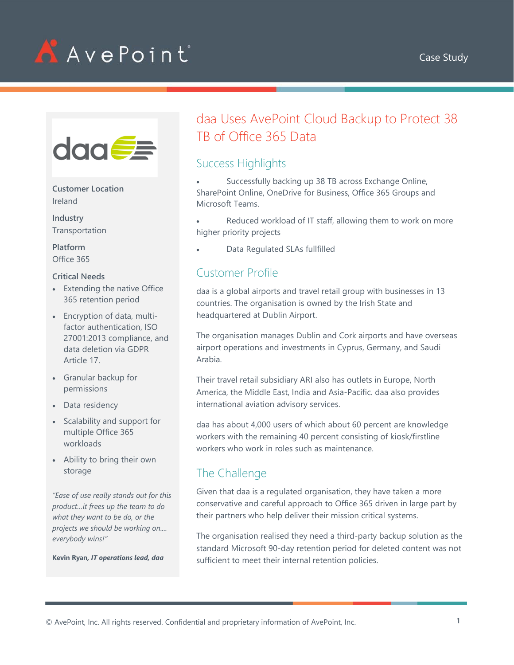



**Customer Location** Ireland

**Industry** Transportation

**Platform** Office 365

#### **Critical Needs**

- Extending the native Office 365 retention period
- Encryption of data, multifactor authentication, ISO 27001:2013 compliance, and data deletion via GDPR Article 17.
- Granular backup for permissions
- Data residency
- Scalability and support for multiple Office 365 workloads
- Ability to bring their own storage

*"Ease of use really stands out for this product…it frees up the team to do what they want to be do, or the projects we should be working on.... everybody wins!"*

**Kevin Ryan***, IT operations lead, daa*

# daa Uses AvePoint Cloud Backup to Protect 38 TB of Office 365 Data

## Success Highlights

Successfully backing up 38 TB across Exchange Online, SharePoint Online, OneDrive for Business, Office 365 Groups and Microsoft Teams.

Reduced workload of IT staff, allowing them to work on more higher priority projects

• Data Regulated SLAs fullfilled

# Customer Profile

daa is a global airports and travel retail group with businesses in 13 countries. The organisation is owned by the Irish State and headquartered at Dublin Airport.

The organisation manages Dublin and Cork airports and have overseas airport operations and investments in Cyprus, Germany, and Saudi Arabia.

Their travel retail subsidiary ARI also has outlets in Europe, North America, the Middle East, India and Asia-Pacific. daa also provides international aviation advisory services.

daa has about 4,000 users of which about 60 percent are knowledge workers with the remaining 40 percent consisting of kiosk/firstline workers who work in roles such as maintenance.

## The Challenge

Given that daa is a regulated organisation, they have taken a more conservative and careful approach to Office 365 driven in large part by their partners who help deliver their mission critical systems.

The organisation realised they need a third-party backup solution as the standard Microsoft 90-day retention period for deleted content was not sufficient to meet their internal retention policies.

© AvePoint, Inc. All rights reserved. Confidential and proprietary information of AvePoint, Inc. **1**